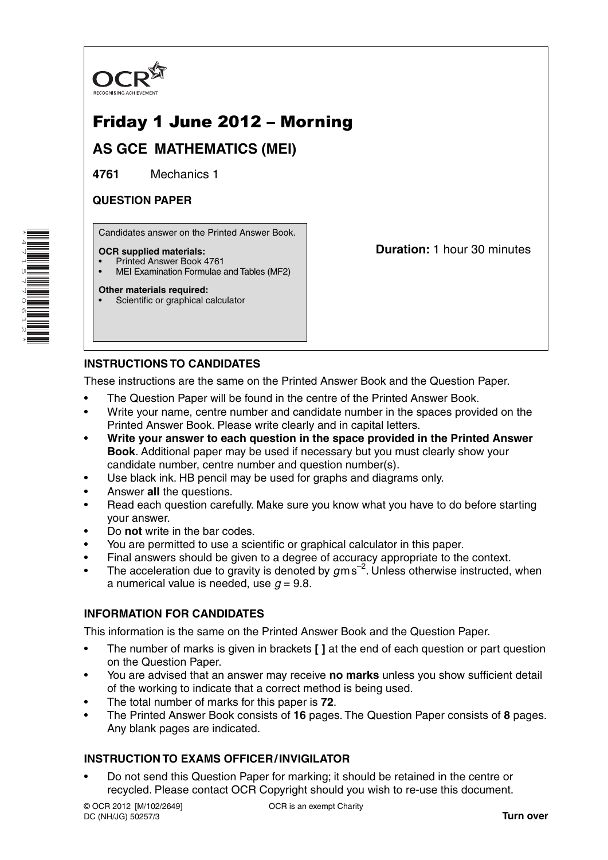

# Friday 1 June 2012 – Morning

**AS GCE MATHEMATICS (MEI)**

**4761** Mechanics 1

# **QUESTION PAPER**

Candidates answer on the Printed Answer Book.

#### **OCR supplied materials:**

- Printed Answer Book 4761
- MEI Examination Formulae and Tables (MF2)

### **Other materials required:**

Scientific or graphical calculator

**Duration:** 1 hour 30 minutes

# **INSTRUCTIONS TO CANDIDATES**

These instructions are the same on the Printed Answer Book and the Question Paper.

- The Question Paper will be found in the centre of the Printed Answer Book.
- Write your name, centre number and candidate number in the spaces provided on the Printed Answer Book. Please write clearly and in capital letters.
- **Write your answer to each question in the space provided in the Printed Answer Book**. Additional paper may be used if necessary but you must clearly show your candidate number, centre number and question number(s).
- Use black ink. HB pencil may be used for graphs and diagrams only.
- Answer **all** the questions.
- Read each question carefully. Make sure you know what you have to do before starting your answer.
- Do **not** write in the bar codes.
- You are permitted to use a scientific or graphical calculator in this paper.
- Final answers should be given to a degree of accuracy appropriate to the context.
- The acceleration due to gravity is denoted by  $gms^{-2}$ . Unless otherwise instructed, when a numerical value is needed, use  $q = 9.8$ .

# **INFORMATION FOR CANDIDATES**

This information is the same on the Printed Answer Book and the Question Paper.

- The number of marks is given in brackets **[ ]** at the end of each question or part question on the Question Paper.
- You are advised that an answer may receive **no marks** unless you show sufficient detail of the working to indicate that a correct method is being used.
- The total number of marks for this paper is **72**.
- The Printed Answer Book consists of **16** pages. The Question Paper consists of **8** pages. Any blank pages are indicated.

# **INSTRUCTION TO EXAMS OFFICER / INVIGILATOR**

• Do not send this Question Paper for marking; it should be retained in the centre or recycled. Please contact OCR Copyright should you wish to re-use this document.

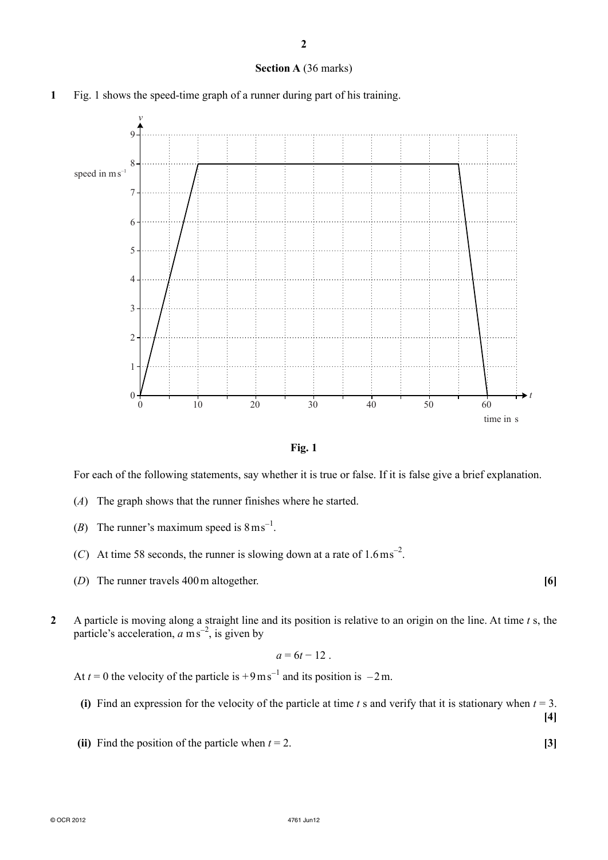### **Section A** (36 marks)







For each of the following statements, say whether it is true or false. If it is false give a brief explanation.

- (*A*) The graph shows that the runner finishes where he started.
- (*B*) The runner's maximum speed is  $8 \text{ ms}^{-1}$ .
- (*C*) At time 58 seconds, the runner is slowing down at a rate of  $1.6 \text{ ms}^{-2}$ .
- (*D*) The runner travels 400 m altogether. **[6]**
- **2** A particle is moving along a straight line and its position is relative to an origin on the line. At time *t* s, the particle's acceleration,  $a \text{ ms}^{-2}$ , is given by

$$
a=6t-12.
$$

At  $t = 0$  the velocity of the particle is  $+9 \text{ m s}^{-1}$  and its position is  $-2 \text{ m}$ .

- **(i)** Find an expression for the velocity of the particle at time *t* s and verify that it is stationary when *t* = 3.
- **(ii)** Find the position of the particle when  $t = 2$ . [3]

**[4]**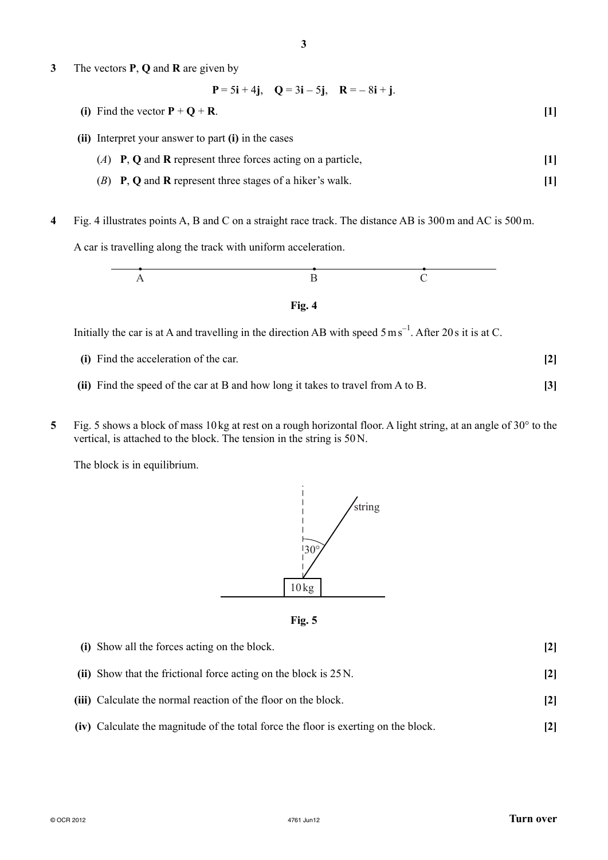**3** The vectors **P**, **Q** and **R** are given by

$$
\mathbf{P} = 5\mathbf{i} + 4\mathbf{j}, \quad \mathbf{Q} = 3\mathbf{i} - 5\mathbf{j}, \quad \mathbf{R} = -8\mathbf{i} + \mathbf{j}.
$$

- **(i)** Find the vector  $P + Q + R$ . [1]
- **(ii)** Interpret your answer to part **(i)** in the cases
	- (*A*) **P**, **Q** and **R** represent three forces acting on a particle, **[1]**
	- (*B*) **P**, **Q** and **R** represent three stages of a hiker's walk. **[1]**
- **4** Fig. 4 illustrates points A, B and C on a straight race track. The distance AB is 300 m and AC is 500 m.

A car is travelling along the track with uniform acceleration.



Initially the car is at A and travelling in the direction AB with speed  $5 \text{ m s}^{-1}$ . After 20s it is at C.

| (i) Find the acceleration of the car. | $[2]$ |
|---------------------------------------|-------|
|                                       |       |

- **(ii)** Find the speed of the car at B and how long it takes to travel from A to B. **[3]**
- **5** Fig. 5 shows a block of mass 10 kg at rest on a rough horizontal floor. A light string, at an angle of 30° to the vertical, is attached to the block. The tension in the string is 50 N.

The block is in equilibrium.



| Fig. 5 |  |
|--------|--|
|        |  |

| (i) Show all the forces acting on the block.                                        | $\mathbf{[2]}$    |
|-------------------------------------------------------------------------------------|-------------------|
| (ii) Show that the frictional force acting on the block is $25N$ .                  | $\lceil 2 \rceil$ |
| (iii) Calculate the normal reaction of the floor on the block.                      | $\lceil 2 \rceil$ |
| (iv) Calculate the magnitude of the total force the floor is exerting on the block. | 121               |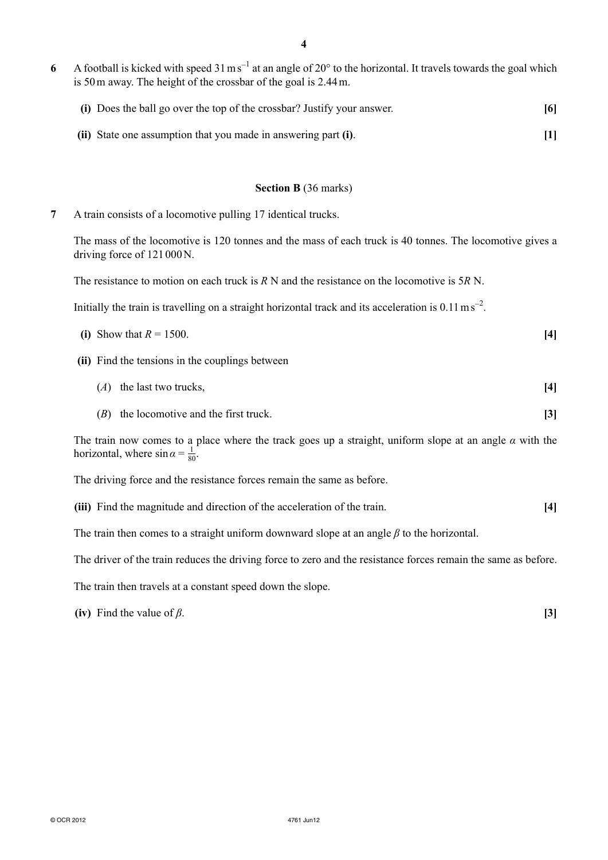**6** A football is kicked with speed  $31 \text{ ms}^{-1}$  at an angle of  $20^{\circ}$  to the horizontal. It travels towards the goal which is 50 m away. The height of the crossbar of the goal is 2.44 m.

| (i) Does the ball go over the top of the crossbar? Justify your answer. | [6] |
|-------------------------------------------------------------------------|-----|
| (ii) State one assumption that you made in answering part (i).          |     |

#### **Section B** (36 marks)

**7** A train consists of a locomotive pulling 17 identical trucks.

The mass of the locomotive is 120 tonnes and the mass of each truck is 40 tonnes. The locomotive gives a driving force of 121 000 N.

The resistance to motion on each truck is *R* N and the resistance on the locomotive is 5*R* N.

Initially the train is travelling on a straight horizontal track and its acceleration is  $0.11 \text{ m s}^{-2}$ .

| (i) Show that $R = 1500$ . |  |
|----------------------------|--|
|----------------------------|--|

- **(ii)** Find the tensions in the couplings between
	- (*A*) the last two trucks, **[4]**
	- (*B*) the locomotive and the first truck. **[3]**

The train now comes to a place where the track goes up a straight, uniform slope at an angle *α* with the horizontal, where  $\sin \alpha = \frac{1}{80}$ .

The driving force and the resistance forces remain the same as before.

 **(iii)** Find the magnitude and direction of the acceleration of the train. **[4]**

The train then comes to a straight uniform downward slope at an angle *β* to the horizontal.

The driver of the train reduces the driving force to zero and the resistance forces remain the same as before.

The train then travels at a constant speed down the slope.

**(iv)** Find the value of *β*. **[3]**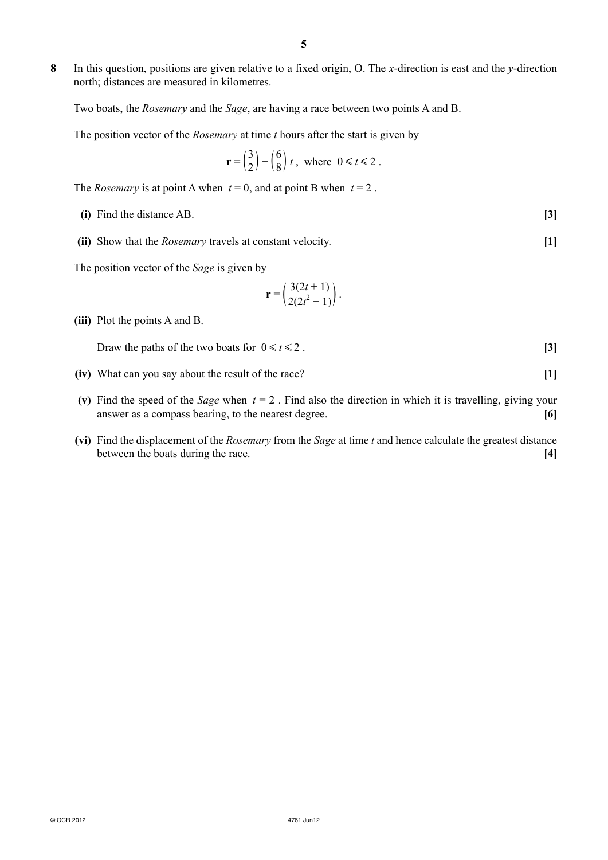**8** In this question, positions are given relative to a fixed origin, O. The *x*-direction is east and the *y*-direction north; distances are measured in kilometres.

Two boats, the *Rosemary* and the *Sage*, are having a race between two points A and B.

The position vector of the *Rosemary* at time *t* hours after the start is given by

$$
\mathbf{r} = \begin{pmatrix} 3 \\ 2 \end{pmatrix} + \begin{pmatrix} 6 \\ 8 \end{pmatrix} t \text{, where } 0 \leq t \leq 2.
$$

The *Rosemary* is at point A when  $t = 0$ , and at point B when  $t = 2$ .

- **(i)** Find the distance AB. **[3]**
- **(ii)** Show that the *Rosemary* travels at constant velocity. **[1]**

The position vector of the *Sage* is given by

$$
\mathbf{r} = \begin{pmatrix} 3(2t+1) \\ 2(2t^2+1) \end{pmatrix}.
$$

 **(iii)** Plot the points A and B.

Draw the paths of the two boats for  $0 \le t \le 2$ . [3]

- **(iv)** What can you say about the result of the race? **[1]**
- **(v)** Find the speed of the *Sage* when  $t = 2$ . Find also the direction in which it is travelling, giving your answer as a compass bearing, to the nearest degree. **[6]**
- **(vi)** Find the displacement of the *Rosemary* from the *Sage* at time *t* and hence calculate the greatest distance between the boats during the race. **[4]**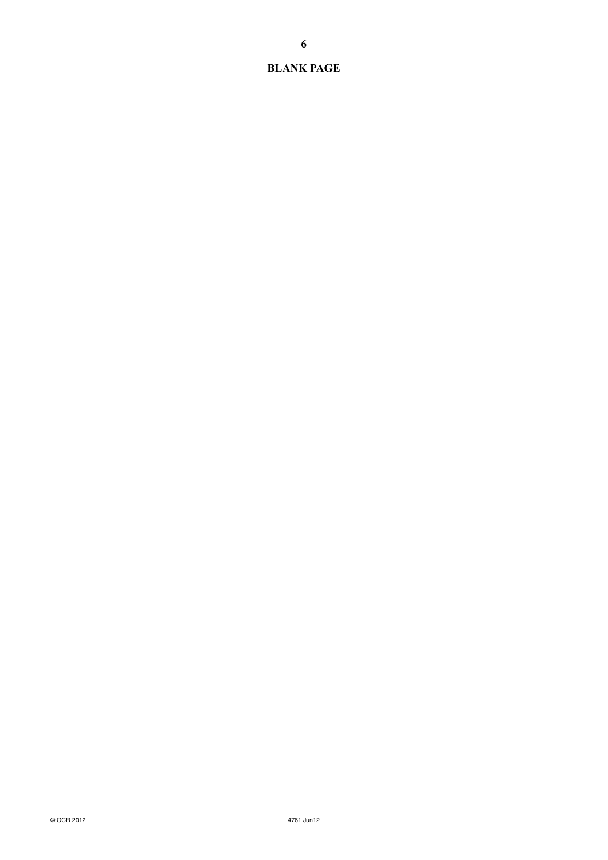## **BLANK PAGE**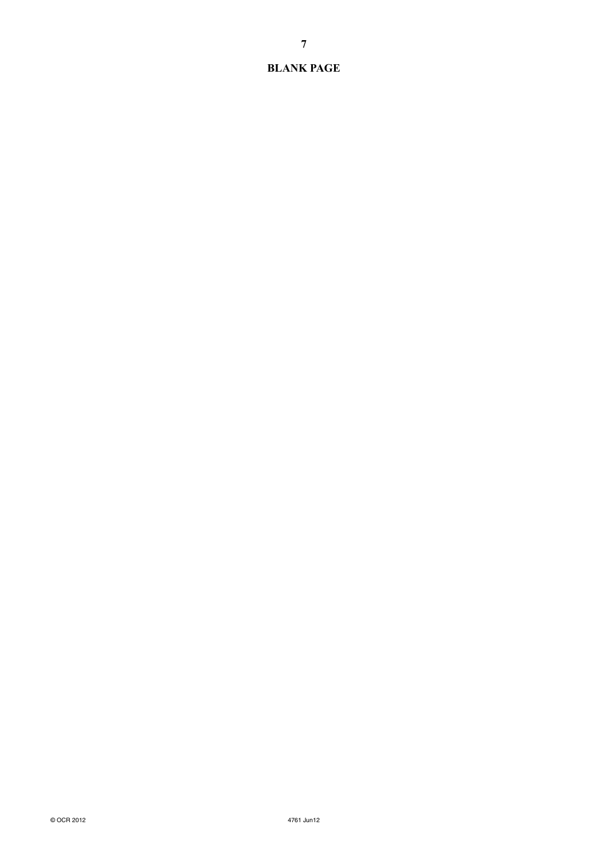## **BLANK PAGE**